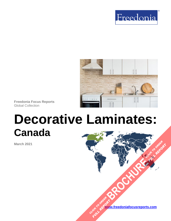



**Freedonia Focus Reports**  Global Collection

# **Decorative Laminates: Canada**

**March 2021**

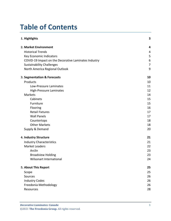# **Table of Contents**

| 1. Highlights                                        | 3  |
|------------------------------------------------------|----|
| 2. Market Environment                                | 4  |
| <b>Historical Trends</b>                             | 4  |
| Key Economic Indicators                              | 5  |
| COVID-19 Impact on the Decorative Laminates Industry | 6  |
| <b>Sustainability Challenges</b>                     | 7  |
| North America Regional Outlook                       | 9  |
| 3. Segmentation & Forecasts                          | 10 |
| Products                                             | 10 |
| Low-Pressure Laminates                               | 11 |
| <b>High-Pressure Laminates</b>                       | 12 |
| Markets                                              | 14 |
| Cabinets                                             | 15 |
| Furniture                                            | 15 |
| Flooring                                             | 16 |
| <b>Retail Fixtures</b>                               | 17 |
| <b>Wall Panels</b>                                   | 17 |
| Countertops                                          | 18 |
| <b>Other Markets</b>                                 | 18 |
| Supply & Demand                                      | 20 |
| 4. Industry Structure                                | 21 |
| <b>Industry Characteristics</b>                      | 21 |
| <b>Market Leaders</b>                                | 22 |
| Arclin                                               | 23 |
| <b>Broadview Holding</b>                             | 23 |
| <b>Wilsonart International</b>                       | 24 |
| 5. About This Report                                 | 25 |
| Scope                                                | 25 |
| Sources                                              | 26 |
| <b>Industry Codes</b>                                | 26 |
| Freedonia Methodology                                | 26 |
| Resources                                            | 28 |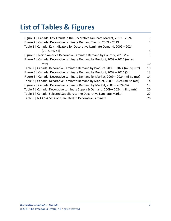# **List of Tables & Figures**

| Figure 1   Canada: Key Trends in the Decorative Laminate Market, 2019 - 2024      | 3  |
|-----------------------------------------------------------------------------------|----|
| Figure 2   Canada: Decorative Laminate Demand Trends, 2009 - 2019                 | 4  |
| Table 1   Canada: Key Indicators for Decorative Laminate Demand, 2009 - 2024      |    |
| (2018US\$ bil)                                                                    | 5  |
| Figure 3   North America Decorative Laminate Demand by Country, 2019 (%)          | 9  |
| Figure 4   Canada: Decorative Laminate Demand by Product, 2009 - 2024 (mil sq     |    |
| mtr)                                                                              | 10 |
| Table 2   Canada: Decorative Laminate Demand by Product, 2009 - 2024 (mil sq mtr) | 10 |
| Figure 5   Canada: Decorative Laminate Demand by Product, 2009 - 2024 (%)         | 13 |
| Figure 6   Canada: Decorative Laminate Demand by Market, 2009 - 2024 (mil sq mtr) | 14 |
| Table 3   Canada: Decorative Laminate Demand by Market, 2009 - 2024 (mil sq mtr)  | 14 |
| Figure 7   Canada: Decorative Laminate Demand by Market, 2009 - 2024 (%)          | 19 |
| Table 4   Canada: Decorative Laminate Supply & Demand, 2009 - 2024 (mil sq mtr)   | 20 |
| Table 5   Canada: Selected Suppliers to the Decorative Laminate Market            | 22 |
| Table 6   NAICS & SIC Codes Related to Decorative Laminate                        | 26 |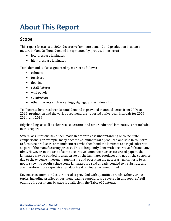# <span id="page-3-0"></span>**About This Report**

# <span id="page-3-1"></span>**Scope**

This report forecasts to 2024 decorative laminate demand and production in square meters in Canada. Total demand is segmented by product in terms of:

- low-pressure laminates
- high-pressure laminates

Total demand is also segmented by market as follows:

- cabinets
- furniture
- flooring
- retail fixtures
- wall panels
- countertops
- other markets such as ceilings, signage, and window sills

To illustrate historical trends, total demand is provided in annual series from 2009 to 2019; production and the various segments are reported at five-year intervals for 2009, 2014, and 2019.

Edgebanding, as well as electrical, electronic, and other industrial laminates, is not included in this report.

Several assumptions have been made in order to ease understanding or to facilitate comparisons. For example, many decorative laminates are produced and sold in roll form to furniture producers or manufacturers, who then bond the laminate to a rigid substrate as part of the manufacturing process. This is frequently done with decorative foils and vinyl films. However, in the case of some decorative laminates, such as saturated papers, the laminates may be bonded to a substrate by the laminates producer and not by the customer due to the expense inherent in purchasing and operating the necessary machinery. So as not to skew the results (since some laminates are sold already bonded to a substrate and are therefore more expensive), all data treat laminates as unmounted.

Key macroeconomic indicators are also provided with quantified trends. Other various topics, including profiles of pertinent leading suppliers, are covered in this report. A full outline of report items by page is available in the Table of Contents.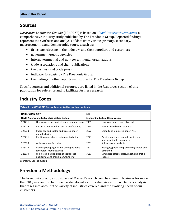# <span id="page-4-0"></span>**Sources**

*Decorative Laminates: Canada* (FA60027) is based on *[Global Decorative Laminates,](http://www.freedoniagroup.com/DocumentDetails.aspx?ReferrerId=FL-FOCUS&studyid=4139)* a comprehensive industry study published by The Freedonia Group. Reported findings represent the synthesis and analysis of data from various primary, secondary, macroeconomic, and demographic sources, such as:

- firms participating in the industry, and their suppliers and customers
- government/public agencies
- intergovernmental and non-governmental organizations
- trade associations and their publications
- the business and trade press
- indicator forecasts by The Freedonia Group
- the findings of other reports and studies by The Freedonia Group

Specific sources and additional resources are listed in the Resources section of this publication for reference and to facilitate further research.

# <span id="page-4-1"></span>**Industry Codes**

<span id="page-4-3"></span>

| Table 6   NAICS & SIC Codes Related to Decorative Laminate |                                                                                |                                           |                                                                         |  |
|------------------------------------------------------------|--------------------------------------------------------------------------------|-------------------------------------------|-------------------------------------------------------------------------|--|
| <b>NAICS/SCIAN 2017</b>                                    |                                                                                | <b>SIC</b>                                |                                                                         |  |
| North American Industry Classification System              |                                                                                | <b>Standard Industrial Classification</b> |                                                                         |  |
| 321211                                                     | Hardwood veneer and plywood manufacturing                                      | 2435                                      | Hardwood veneer and plywood                                             |  |
| 321219                                                     | Reconstituted wood product manufacturing                                       | 2493                                      | Reconstituted wood products                                             |  |
| 322220                                                     | Paper bag and coated and treated paper<br>manufacturing                        | 2672                                      | Coated and laminated paper, NEC                                         |  |
| 325211                                                     | Plastics material and resin manufacturing                                      | 2821                                      | Plastics materials, synthetic resins, and<br>nonvulcanizable elastomers |  |
| 325520                                                     | Adhesive manufacturing                                                         | 2891                                      | Adhesives and sealants                                                  |  |
| 326112                                                     | Plastics packaging film and sheet (including<br>laminated) manufacturing       | 2671                                      | Packaging paper and plastic film; coated and<br>laminated               |  |
| 326130                                                     | Laminated plastics plate, sheet (except<br>packaging), and shape manufacturing | 3083                                      | Laminated plastics plate, sheet, and profile<br>shapes                  |  |

Source: US Census Bureau

# <span id="page-4-2"></span>**Freedonia Methodology**

The Freedonia Group, a subsidiary of MarketResearch.com, has been in business for more than 30 years and in that time has developed a comprehensive approach to data analysis that takes into account the variety of industries covered and the evolving needs of our customers.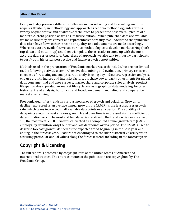#### **About This Report**

Every industry presents different challenges in market sizing and forecasting, and this requires flexibility in methodology and approach. Freedonia methodology integrates a variety of quantitative and qualitative techniques to present the best overall picture of a market's current position as well as its future outlook: When published data are available, we make sure they are correct and representative of reality. We understand that published data often have flaws either in scope or quality, and adjustments are made accordingly. Where no data are available, we use various methodologies to develop market sizing (both top-down and bottom-up) and then triangulate those results to come up with the most accurate data series possible. Regardless of approach, we also talk to industry participants to verify both historical perspective and future growth opportunities.

Methods used in the preparation of Freedonia market research include, but are not limited to, the following activities: comprehensive data mining and evaluation, primary research, consensus forecasting and analysis, ratio analysis using key indicators, regression analysis, end use growth indices and intensity factors, purchase power parity adjustments for global data, consumer and end user surveys, market share and corporate sales analysis, product lifespan analysis, product or market life cycle analysis, graphical data modeling, long-term historical trend analysis, bottom-up and top-down demand modeling, and comparative market size ranking.

Freedonia quantifies trends in various measures of growth and volatility. Growth (or decline) expressed as an average annual growth rate (AAGR) is the least squares growth rate, which takes into account all available datapoints over a period. The volatility of datapoints around a least squares growth trend over time is expressed via the coefficient of determination, or  $r^2$ . The most stable data series relative to the trend carries an  $r^2$  value of 1.0; the most volatile – 0.0. Growth calculated as a compound annual growth rate (CAGR) employs, by definition, only the first and last datapoints over a period. The CAGR is used to describe forecast growth, defined as the expected trend beginning in the base year and ending in the forecast year. Readers are encouraged to consider historical volatility when assessing particular annual values along the forecast trend, including in the forecast year.

## **Copyright & Licensing**

The full report is protected by copyright laws of the United States of America and international treaties. The entire contents of the publication are copyrighted by The Freedonia Group.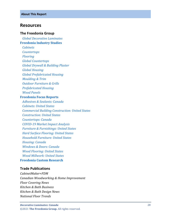### <span id="page-6-0"></span>**Resources**

#### **The Freedonia Group**

 *[Global Decorative Laminates](http://www.freedoniagroup.com/DocumentDetails.aspx?ReferrerId=FL-FOCUS&studyid=4139)*

#### **[Freedonia Industry Studies](http://www.freedoniagroup.com/Home.aspx?ReferrerId=FL-Focus)**

 *[Cabinets](https://www.freedoniagroup.com/DocumentDetails.aspx?ReferrerId=FL-FOCUS&StudyId=3772)*

 *[Countertops](https://www.freedoniagroup.com/DocumentDetails.aspx?ReferrerId=FL-FOCUS&StudyId=3799)*

 *[Flooring](https://www.freedoniagroup.com/DocumentDetails.aspx?ReferrerId=FL-FOCUS&StudyId=3964)*

 *[Global Countertops](https://www.freedoniagroup.com/DocumentDetails.aspx?ReferrerId=FL-FOCUS&StudyId=3836)*

 *[Global Drywall & Building Plaster](https://www.freedoniagroup.com/DocumentDetails.aspx?ReferrerId=FL-FOCUS&StudyId=3768)*

 *[Global Housing](https://www.freedoniagroup.com/DocumentDetails.aspx?ReferrerId=FL-FOCUS&StudyId=3877)*

 *[Global Prefabricated Housing](https://www.freedoniagroup.com/DocumentDetails.aspx?ReferrerId=FL-FOCUS&StudyId=3971)*

 *[Moulding & Trim](https://www.freedoniagroup.com/DocumentDetails.aspx?ReferrerId=FL-FOCUS&StudyId=3815)*

 *[Outdoor Furniture & Grills](https://www.freedoniagroup.com/DocumentDetails.aspx?ReferrerId=FL-FOCUS&StudyId=3811)*

 *[Prefabricated Housing](https://www.freedoniagroup.com/DocumentDetails.aspx?ReferrerId=FL-FOCUS&StudyId=3814)*

 *[Wood Panels](https://www.freedoniagroup.com/DocumentDetails.aspx?ReferrerId=FL-FOCUS&StudyId=3857)*

#### **[Freedonia Focus Reports](https://www.freedoniafocusreports.com/redirect.asp?progid=89534&url=/)**

 *[Adhesives & Sealants: Canada](https://www.freedoniafocusreports.com/Adhesives-Sealants-Canada-FA35088/?progid=89534) [Cabinets: United States](https://www.freedoniafocusreports.com/Cabinets-United-States-FF60042/?progid=89534) [Commercial Building Construction: United States](https://www.freedoniafocusreports.com/Commercial-Building-Construction-United-States-FF60032/?progid=89534) [Construction: United States](https://www.freedoniafocusreports.com/Construction-United-States-FF60054/?progid=89534) [Countertops: Canada](https://www.freedoniafocusreports.com/Countertops-Canada-FA60020/?progid=89534) COVID [-19 Market Impact Analysis](https://www.freedoniafocusreports.com/COVID-19-Market-Impact-Analysis-FW95079/?progid=89534) [Furniture & Furnishings: United States](https://www.freedoniafocusreports.com/Furniture-Furnishings-United-States-FF20018/?progid=89534) [Hard Surface Flooring: United States](https://www.freedoniafocusreports.com/Hard-Surface-Flooring-United-States-FF60047/?progid=89534) [Household Furniture: United States](https://www.freedoniafocusreports.com/Household-Furniture-United-States-FF20010/?progid=89534) [Housing: Canada](https://www.freedoniafocusreports.com/Housing-Canada-FA60024/?progid=89534) [Windows & Doors: Canada](https://www.freedoniafocusreports.com/Windows-Doors-Canada-FA60041/?progid=89534) [Wood Flooring: United States](https://www.freedoniafocusreports.com/Wood-Flooring-United-States-FF20014/?progid=89534) [Wood Millwork: United States](https://www.freedoniafocusreports.com/Wood-Millwork-United-States-FF20012/?progid=89534)* **[Freedonia Custom Research](http://www.freedoniagroup.com/CustomResearch.aspx?ReferrerId=FL-Focus)**

### **Trade Publications**

*CabinetMaker+FDM Canadian Woodworking & Home Improvement Floor Covering News Kitchen & Bath Business Kitchen & Bath Design News National Floor Trends*